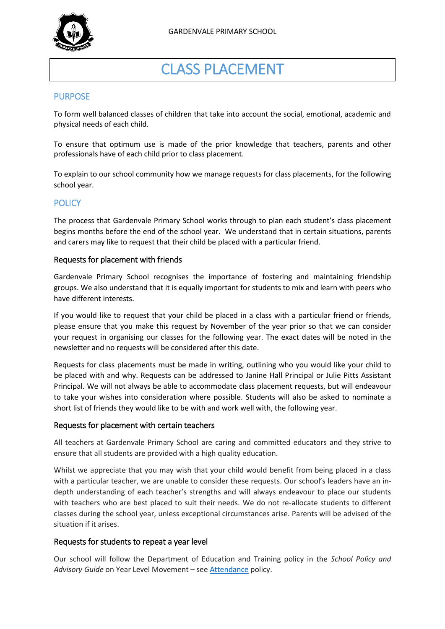

# CLASS PLACEMENT

## PURPOSE

To form well balanced classes of children that take into account the social, emotional, academic and physical needs of each child.

To ensure that optimum use is made of the prior knowledge that teachers, parents and other professionals have of each child prior to class placement.

To explain to our school community how we manage requests for class placements, for the following school year.

## **POLICY**

The process that Gardenvale Primary School works through to plan each student's class placement begins months before the end of the school year. We understand that in certain situations, parents and carers may like to request that their child be placed with a particular friend.

#### Requests for placement with friends

Gardenvale Primary School recognises the importance of fostering and maintaining friendship groups. We also understand that it is equally important for students to mix and learn with peers who have different interests.

If you would like to request that your child be placed in a class with a particular friend or friends, please ensure that you make this request by November of the year prior so that we can consider your request in organising our classes for the following year. The exact dates will be noted in the newsletter and no requests will be considered after this date.

Requests for class placements must be made in writing, outlining who you would like your child to be placed with and why. Requests can be addressed to Janine Hall Principal or Julie Pitts Assistant Principal. We will not always be able to accommodate class placement requests, but will endeavour to take your wishes into consideration where possible. Students will also be asked to nominate a short list of friends they would like to be with and work well with, the following year.

#### Requests for placement with certain teachers

All teachers at Gardenvale Primary School are caring and committed educators and they strive to ensure that all students are provided with a high quality education.

Whilst we appreciate that you may wish that your child would benefit from being placed in a class with a particular teacher, we are unable to consider these requests. Our school's leaders have an indepth understanding of each teacher's strengths and will always endeavour to place our students with teachers who are best placed to suit their needs. We do not re-allocate students to different classes during the school year, unless exceptional circumstances arise. Parents will be advised of the situation if it arises.

### Requests for students to repeat a year level

Our school will follow the Department of Education and Training policy in the *School Policy and Advisory Guide* on Year Level Movement – se[e Attendance](http://www.education.vic.gov.au/school/principals/spag/participation/pages/attendance.aspx) policy.